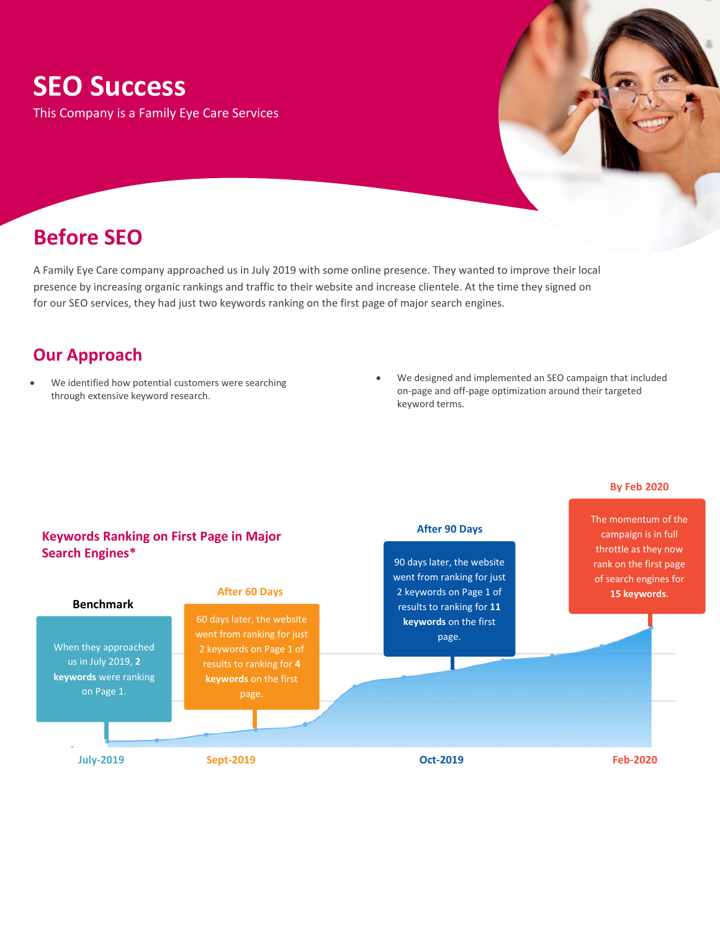# **SEO Success**

This Company is a Family Eye Care Services



## **Before SEO**

A Family Eye Care company approached us in July 2019 with some online presence. They wanted to improve their local presence by increasing organic rankings and traffic to their website and increase clientele. At the time they signed on for our SEO services, they had just two keywords ranking on the first page of major search engines.

### **Our Approach**

- We identified how potential customers were searching through extensive keyword research.
- We designed and implemented an SEO campaign that included on-page and off-page optimization around their targeted keyword terms.

#### **By Feb 2020**